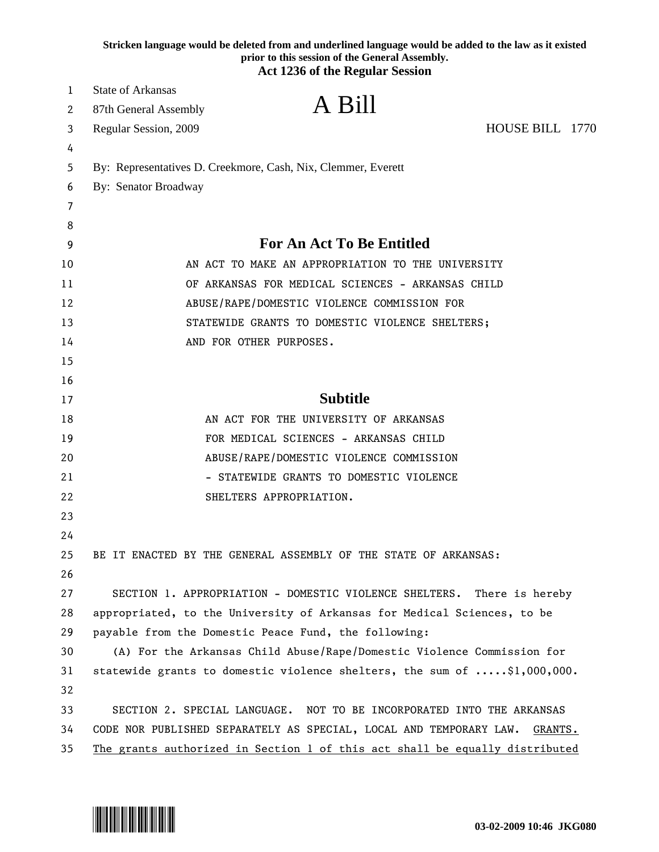|    | Stricken language would be deleted from and underlined language would be added to the law as it existed<br>prior to this session of the General Assembly.<br><b>Act 1236 of the Regular Session</b> |
|----|-----------------------------------------------------------------------------------------------------------------------------------------------------------------------------------------------------|
| 1  | <b>State of Arkansas</b>                                                                                                                                                                            |
| 2  | A Bill<br>87th General Assembly                                                                                                                                                                     |
| 3  | HOUSE BILL 1770<br>Regular Session, 2009                                                                                                                                                            |
| 4  |                                                                                                                                                                                                     |
| 5  | By: Representatives D. Creekmore, Cash, Nix, Clemmer, Everett                                                                                                                                       |
| 6  | By: Senator Broadway                                                                                                                                                                                |
| 7  |                                                                                                                                                                                                     |
| 8  |                                                                                                                                                                                                     |
| 9  | <b>For An Act To Be Entitled</b>                                                                                                                                                                    |
| 10 | AN ACT TO MAKE AN APPROPRIATION TO THE UNIVERSITY                                                                                                                                                   |
| 11 | OF ARKANSAS FOR MEDICAL SCIENCES - ARKANSAS CHILD                                                                                                                                                   |
| 12 | ABUSE/RAPE/DOMESTIC VIOLENCE COMMISSION FOR                                                                                                                                                         |
| 13 | STATEWIDE GRANTS TO DOMESTIC VIOLENCE SHELTERS;                                                                                                                                                     |
| 14 | AND FOR OTHER PURPOSES.                                                                                                                                                                             |
| 15 |                                                                                                                                                                                                     |
| 16 |                                                                                                                                                                                                     |
| 17 | <b>Subtitle</b>                                                                                                                                                                                     |
| 18 | AN ACT FOR THE UNIVERSITY OF ARKANSAS                                                                                                                                                               |
| 19 | FOR MEDICAL SCIENCES - ARKANSAS CHILD                                                                                                                                                               |
| 20 | ABUSE/RAPE/DOMESTIC VIOLENCE COMMISSION                                                                                                                                                             |
| 21 | STATEWIDE GRANTS TO DOMESTIC VIOLENCE                                                                                                                                                               |
| 22 | SHELTERS APPROPRIATION.                                                                                                                                                                             |
| 23 |                                                                                                                                                                                                     |
| 24 |                                                                                                                                                                                                     |
| 25 | BE IT ENACTED BY THE GENERAL ASSEMBLY OF THE STATE OF ARKANSAS:                                                                                                                                     |
| 26 |                                                                                                                                                                                                     |
| 27 | SECTION 1. APPROPRIATION - DOMESTIC VIOLENCE SHELTERS. There is hereby                                                                                                                              |
| 28 | appropriated, to the University of Arkansas for Medical Sciences, to be                                                                                                                             |
| 29 | payable from the Domestic Peace Fund, the following:                                                                                                                                                |
| 30 | (A) For the Arkansas Child Abuse/Rape/Domestic Violence Commission for                                                                                                                              |
| 31 | statewide grants to domestic violence shelters, the sum of $\ldots$ \$1,000,000.                                                                                                                    |
| 32 |                                                                                                                                                                                                     |
| 33 | SECTION 2. SPECIAL LANGUAGE. NOT TO BE INCORPORATED INTO THE ARKANSAS                                                                                                                               |
| 34 | CODE NOR PUBLISHED SEPARATELY AS SPECIAL, LOCAL AND TEMPORARY LAW.<br>GRANTS.                                                                                                                       |
| 35 | The grants authorized in Section 1 of this act shall be equally distributed                                                                                                                         |

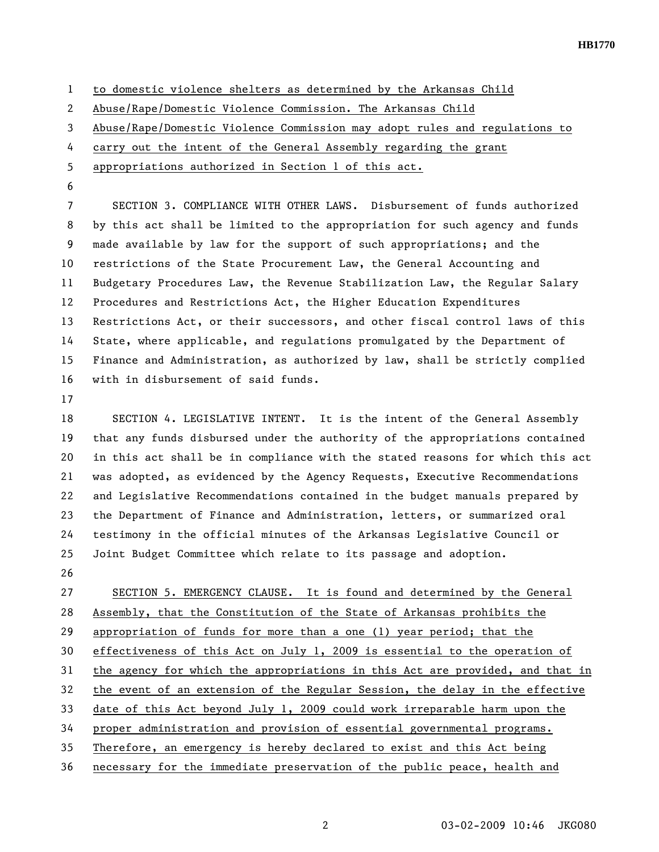**HB1770** 

1 to domestic violence shelters as determined by the Arkansas Child

2 Abuse/Rape/Domestic Violence Commission. The Arkansas Child

3 Abuse/Rape/Domestic Violence Commission may adopt rules and regulations to

4 carry out the intent of the General Assembly regarding the grant

5 appropriations authorized in Section 1 of this act.

6

7 SECTION 3. COMPLIANCE WITH OTHER LAWS. Disbursement of funds authorized 8 by this act shall be limited to the appropriation for such agency and funds 9 made available by law for the support of such appropriations; and the 10 restrictions of the State Procurement Law, the General Accounting and 11 Budgetary Procedures Law, the Revenue Stabilization Law, the Regular Salary 12 Procedures and Restrictions Act, the Higher Education Expenditures 13 Restrictions Act, or their successors, and other fiscal control laws of this 14 State, where applicable, and regulations promulgated by the Department of 15 Finance and Administration, as authorized by law, shall be strictly complied 16 with in disbursement of said funds.

17

18 SECTION 4. LEGISLATIVE INTENT. It is the intent of the General Assembly 19 that any funds disbursed under the authority of the appropriations contained 20 in this act shall be in compliance with the stated reasons for which this act 21 was adopted, as evidenced by the Agency Requests, Executive Recommendations 22 and Legislative Recommendations contained in the budget manuals prepared by 23 the Department of Finance and Administration, letters, or summarized oral 24 testimony in the official minutes of the Arkansas Legislative Council or 25 Joint Budget Committee which relate to its passage and adoption.

26

27 SECTION 5. EMERGENCY CLAUSE. It is found and determined by the General 28 Assembly, that the Constitution of the State of Arkansas prohibits the 29 appropriation of funds for more than a one (1) year period; that the 30 effectiveness of this Act on July 1, 2009 is essential to the operation of 31 the agency for which the appropriations in this Act are provided, and that in 32 the event of an extension of the Regular Session, the delay in the effective 33 date of this Act beyond July 1, 2009 could work irreparable harm upon the 34 proper administration and provision of essential governmental programs. 35 Therefore, an emergency is hereby declared to exist and this Act being 36 necessary for the immediate preservation of the public peace, health and